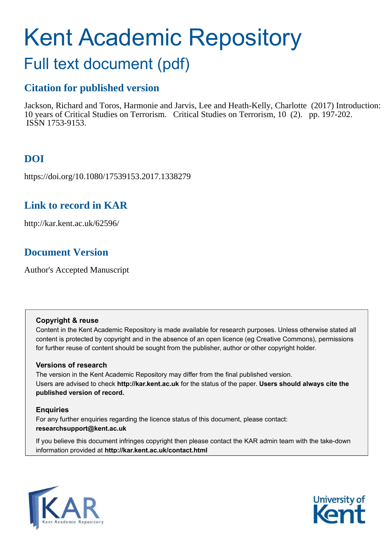# Kent Academic Repository

## Full text document (pdf)

## **Citation for published version**

Jackson, Richard and Toros, Harmonie and Jarvis, Lee and Heath-Kelly, Charlotte (2017) Introduction: 10 years of Critical Studies on Terrorism. Critical Studies on Terrorism, 10 (2). pp. 197-202. ISSN 1753-9153.

## **DOI**

https://doi.org/10.1080/17539153.2017.1338279

### **Link to record in KAR**

http://kar.kent.ac.uk/62596/

## **Document Version**

Author's Accepted Manuscript

#### **Copyright & reuse**

Content in the Kent Academic Repository is made available for research purposes. Unless otherwise stated all content is protected by copyright and in the absence of an open licence (eg Creative Commons), permissions for further reuse of content should be sought from the publisher, author or other copyright holder.

#### **Versions of research**

The version in the Kent Academic Repository may differ from the final published version. Users are advised to check **http://kar.kent.ac.uk** for the status of the paper. **Users should always cite the published version of record.**

#### **Enquiries**

For any further enquiries regarding the licence status of this document, please contact: **researchsupport@kent.ac.uk**

If you believe this document infringes copyright then please contact the KAR admin team with the take-down information provided at **http://kar.kent.ac.uk/contact.html**



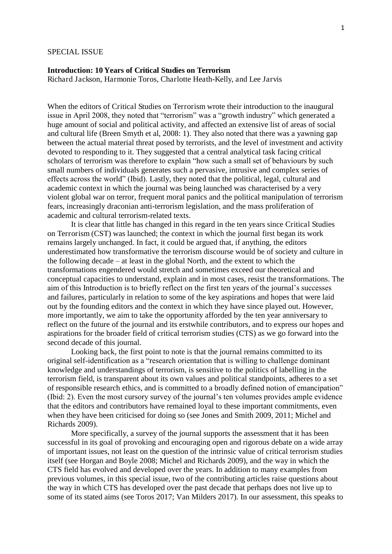#### SPECIAL ISSUE

#### **Introduction: 10 Years of Critical Studies on Terrorism**

Richard Jackson, Harmonie Toros, Charlotte Heath-Kelly, and Lee Jarvis

When the editors of Critical Studies on Terrorism wrote their introduction to the inaugural issue in April 2008, they noted that "terrorism" was a "growth industry" which generated a huge amount of social and political activity, and affected an extensive list of areas of social and cultural life (Breen Smyth et al, 2008: 1). They also noted that there was a yawning gap between the actual material threat posed by terrorists, and the level of investment and activity devoted to responding to it. They suggested that a central analytical task facing critical scholars of terrorism was therefore to explain "how such a small set of behaviours by such small numbers of individuals generates such a pervasive, intrusive and complex series of effects across the world" (Ibid). Lastly, they noted that the political, legal, cultural and academic context in which the journal was being launched was characterised by a very violent global war on terror, frequent moral panics and the political manipulation of terrorism fears, increasingly draconian anti-terrorism legislation, and the mass proliferation of academic and cultural terrorism-related texts.

It is clear that little has changed in this regard in the ten years since Critical Studies on Terrorism (CST) was launched; the context in which the journal first began its work remains largely unchanged. In fact, it could be argued that, if anything, the editors underestimated how transformative the terrorism discourse would be of society and culture in the following decade – at least in the global North, and the extent to which the transformations engendered would stretch and sometimes exceed our theoretical and conceptual capacities to understand, explain and in most cases, resist the transformations. The aim of this Introduction is to briefly reflect on the first ten years of the journal's successes and failures, particularly in relation to some of the key aspirations and hopes that were laid out by the founding editors and the context in which they have since played out. However, more importantly, we aim to take the opportunity afforded by the ten year anniversary to reflect on the future of the journal and its erstwhile contributors, and to express our hopes and aspirations for the broader field of critical terrorism studies (CTS) as we go forward into the second decade of this journal.

Looking back, the first point to note is that the journal remains committed to its original self-identification as a "research orientation that is willing to challenge dominant knowledge and understandings of terrorism, is sensitive to the politics of labelling in the terrorism field, is transparent about its own values and political standpoints, adheres to a set of responsible research ethics, and is committed to a broadly defined notion of emancipation" (Ibid: 2). Even the most cursory survey of the journal's ten volumes provides ample evidence that the editors and contributors have remained loyal to these important commitments, even when they have been criticised for doing so (see Jones and Smith 2009, 2011; Michel and Richards 2009).

More specifically, a survey of the journal supports the assessment that it has been successful in its goal of provoking and encouraging open and rigorous debate on a wide array of important issues, not least on the question of the intrinsic value of critical terrorism studies itself (see Horgan and Boyle 2008; Michel and Richards 2009), and the way in which the CTS field has evolved and developed over the years. In addition to many examples from previous volumes, in this special issue, two of the contributing articles raise questions about the way in which CTS has developed over the past decade that perhaps does not live up to some of its stated aims (see Toros 2017; Van Milders 2017). In our assessment, this speaks to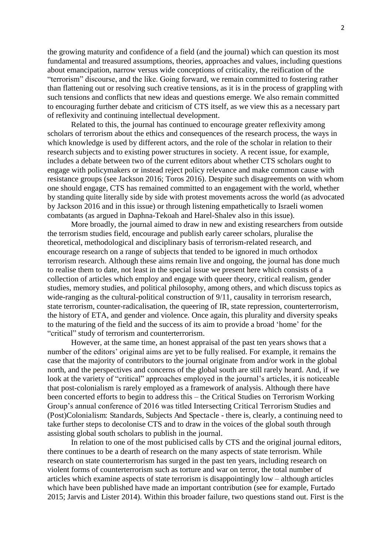the growing maturity and confidence of a field (and the journal) which can question its most fundamental and treasured assumptions, theories, approaches and values, including questions about emancipation, narrow versus wide conceptions of criticality, the reification of the "terrorism" discourse, and the like. Going forward, we remain committed to fostering rather than flattening out or resolving such creative tensions, as it is in the process of grappling with such tensions and conflicts that new ideas and questions emerge. We also remain committed to encouraging further debate and criticism of CTS itself, as we view this as a necessary part of reflexivity and continuing intellectual development.

Related to this, the journal has continued to encourage greater reflexivity among scholars of terrorism about the ethics and consequences of the research process, the ways in which knowledge is used by different actors, and the role of the scholar in relation to their research subjects and to existing power structures in society. A recent issue, for example, includes a debate between two of the current editors about whether CTS scholars ought to engage with policymakers or instead reject policy relevance and make common cause with resistance groups (see Jackson 2016; Toros 2016). Despite such disagreements on with whom one should engage, CTS has remained committed to an engagement with the world, whether by standing quite literally side by side with protest movements across the world (as advocated by Jackson 2016 and in this issue) or through listening empathetically to Israeli women combatants (as argued in Daphna-Tekoah and Harel-Shalev also in this issue).

More broadly, the journal aimed to draw in new and existing researchers from outside the terrorism studies field, encourage and publish early career scholars, pluralise the theoretical, methodological and disciplinary basis of terrorism-related research, and encourage research on a range of subjects that tended to be ignored in much orthodox terrorism research. Although these aims remain live and ongoing, the journal has done much to realise them to date, not least in the special issue we present here which consists of a collection of articles which employ and engage with queer theory, critical realism, gender studies, memory studies, and political philosophy, among others, and which discuss topics as wide-ranging as the cultural-political construction of  $9/11$ , causality in terrorism research, state terrorism, counter-radicalisation, the queering of IR, state repression, counterterrorism, the history of ETA, and gender and violence. Once again, this plurality and diversity speaks to the maturing of the field and the success of its aim to provide a broad 'home' for the "critical" study of terrorism and counterterrorism.

However, at the same time, an honest appraisal of the past ten years shows that a number of the editors' original aims are yet to be fully realised. For example, it remains the case that the majority of contributors to the journal originate from and/or work in the global north, and the perspectives and concerns of the global south are still rarely heard. And, if we look at the variety of "critical" approaches employed in the journal's articles, it is noticeable that post-colonialism is rarely employed as a framework of analysis. Although there have been concerted efforts to begin to address this – the Critical Studies on Terrorism Working Group's annual conference of 2016 was titled Intersecting Critical Terrorism Studies and (Post)Colonialism: Standards, Subjects And Spectacle - there is, clearly, a continuing need to take further steps to decolonise CTS and to draw in the voices of the global south through assisting global south scholars to publish in the journal.

In relation to one of the most publicised calls by CTS and the original journal editors, there continues to be a dearth of research on the many aspects of state terrorism. While research on state counterterrorism has surged in the past ten years, including research on violent forms of counterterrorism such as torture and war on terror, the total number of articles which examine aspects of state terrorism is disappointingly low – although articles which have been published have made an important contribution (see for example, Furtado 2015; Jarvis and Lister 2014). Within this broader failure, two questions stand out. First is the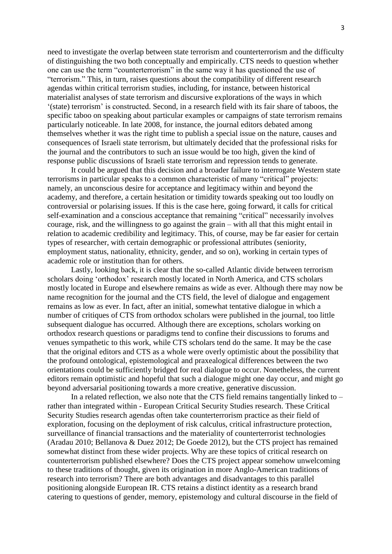need to investigate the overlap between state terrorism and counterterrorism and the difficulty of distinguishing the two both conceptually and empirically. CTS needs to question whether one can use the term "counterterrorism" in the same way it has questioned the use of "terrorism." This, in turn, raises questions about the compatibility of different research agendas within critical terrorism studies, including, for instance, between historical materialist analyses of state terrorism and discursive explorations of the ways in which '(state) terrorism' is constructed. Second, in a research field with its fair share of taboos, the specific taboo on speaking about particular examples or campaigns of state terrorism remains particularly noticeable. In late 2008, for instance, the journal editors debated among themselves whether it was the right time to publish a special issue on the nature, causes and consequences of Israeli state terrorism, but ultimately decided that the professional risks for the journal and the contributors to such an issue would be too high, given the kind of response public discussions of Israeli state terrorism and repression tends to generate.

It could be argued that this decision and a broader failure to interrogate Western state terrorisms in particular speaks to a common characteristic of many "critical" projects: namely, an unconscious desire for acceptance and legitimacy within and beyond the academy, and therefore, a certain hesitation or timidity towards speaking out too loudly on controversial or polarising issues. If this is the case here, going forward, it calls for critical self-examination and a conscious acceptance that remaining "critical" necessarily involves courage, risk, and the willingness to go against the grain – with all that this might entail in relation to academic credibility and legitimacy. This, of course, may be far easier for certain types of researcher, with certain demographic or professional attributes (seniority, employment status, nationality, ethnicity, gender, and so on), working in certain types of academic role or institution than for others.

Lastly, looking back, it is clear that the so-called Atlantic divide between terrorism scholars doing 'orthodox' research mostly located in North America, and CTS scholars mostly located in Europe and elsewhere remains as wide as ever. Although there may now be name recognition for the journal and the CTS field, the level of dialogue and engagement remains as low as ever. In fact, after an initial, somewhat tentative dialogue in which a number of critiques of CTS from orthodox scholars were published in the journal, too little subsequent dialogue has occurred. Although there are exceptions, scholars working on orthodox research questions or paradigms tend to confine their discussions to forums and venues sympathetic to this work, while CTS scholars tend do the same. It may be the case that the original editors and CTS as a whole were overly optimistic about the possibility that the profound ontological, epistemological and praxealogical differences between the two orientations could be sufficiently bridged for real dialogue to occur. Nonetheless, the current editors remain optimistic and hopeful that such a dialogue might one day occur, and might go beyond adversarial positioning towards a more creative, generative discussion.

In a related reflection, we also note that the CTS field remains tangentially linked to  $$ rather than integrated within - European Critical Security Studies research. These Critical Security Studies research agendas often take counterterrorism practice as their field of exploration, focusing on the deployment of risk calculus, critical infrastructure protection, surveillance of financial transactions and the materiality of counterterrorist technologies (Aradau 2010; Bellanova & Duez 2012; De Goede 2012), but the CTS project has remained somewhat distinct from these wider projects. Why are these topics of critical research on counterterrorism published elsewhere? Does the CTS project appear somehow unwelcoming to these traditions of thought, given its origination in more Anglo-American traditions of research into terrorism? There are both advantages and disadvantages to this parallel positioning alongside European IR. CTS retains a distinct identity as a research brand catering to questions of gender, memory, epistemology and cultural discourse in the field of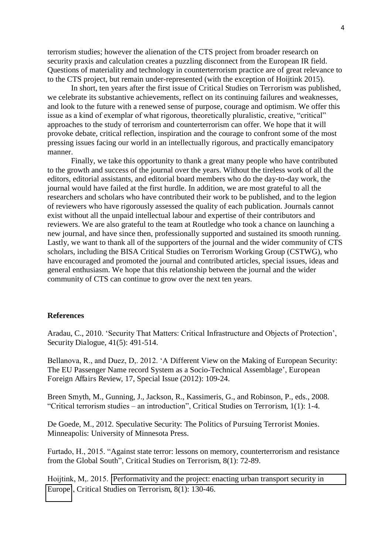terrorism studies; however the alienation of the CTS project from broader research on security praxis and calculation creates a puzzling disconnect from the European IR field. Questions of materiality and technology in counterterrorism practice are of great relevance to to the CTS project, but remain under-represented (with the exception of Hoijtink 2015).

In short, ten years after the first issue of Critical Studies on Terrorism was published, we celebrate its substantive achievements, reflect on its continuing failures and weaknesses, and look to the future with a renewed sense of purpose, courage and optimism. We offer this issue as a kind of exemplar of what rigorous, theoretically pluralistic, creative, "critical" approaches to the study of terrorism and counterterrorism can offer. We hope that it will provoke debate, critical reflection, inspiration and the courage to confront some of the most pressing issues facing our world in an intellectually rigorous, and practically emancipatory manner.

Finally, we take this opportunity to thank a great many people who have contributed to the growth and success of the journal over the years. Without the tireless work of all the editors, editorial assistants, and editorial board members who do the day-to-day work, the journal would have failed at the first hurdle. In addition, we are most grateful to all the researchers and scholars who have contributed their work to be published, and to the legion of reviewers who have rigorously assessed the quality of each publication. Journals cannot exist without all the unpaid intellectual labour and expertise of their contributors and reviewers. We are also grateful to the team at Routledge who took a chance on launching a new journal, and have since then, professionally supported and sustained its smooth running. Lastly, we want to thank all of the supporters of the journal and the wider community of CTS scholars, including the BISA Critical Studies on Terrorism Working Group (CSTWG), who have encouraged and promoted the journal and contributed articles, special issues, ideas and general enthusiasm. We hope that this relationship between the journal and the wider community of CTS can continue to grow over the next ten years.

#### **References**

Aradau, C., 2010. 'Security That Matters: Critical Infrastructure and Objects of Protection', Security Dialogue, 41(5): 491-514.

Bellanova, R., and Duez, D,. 2012. 'A Different View on the Making of European Security: The EU Passenger Name record System as a Socio-Technical Assemblage', European Foreign Affairs Review, 17, Special Issue (2012): 109-24.

Breen Smyth, M., Gunning, J., Jackson, R., Kassimeris, G., and Robinson, P., eds., 2008. "Critical terrorism studies – an introduction", Critical Studies on Terrorism, 1(1): 1-4.

De Goede, M., 2012. Speculative Security: The Politics of Pursuing Terrorist Monies. Minneapolis: University of Minnesota Press.

Furtado, H., 2015. "Against state terror: lessons on memory, counterterrorism and resistance from the Global South", Critical Studies on Terrorism, 8(1): 72-89.

Hoijtink, M,. 2015. '[Performativity and the project: enacting urban transport security in](http://www.tandfonline.com/doi/abs/10.1080/17539153.2015.1005937)  [Europe](http://www.tandfonline.com/doi/abs/10.1080/17539153.2015.1005937)', Critical Studies on Terrorism, 8(1): 130-46.